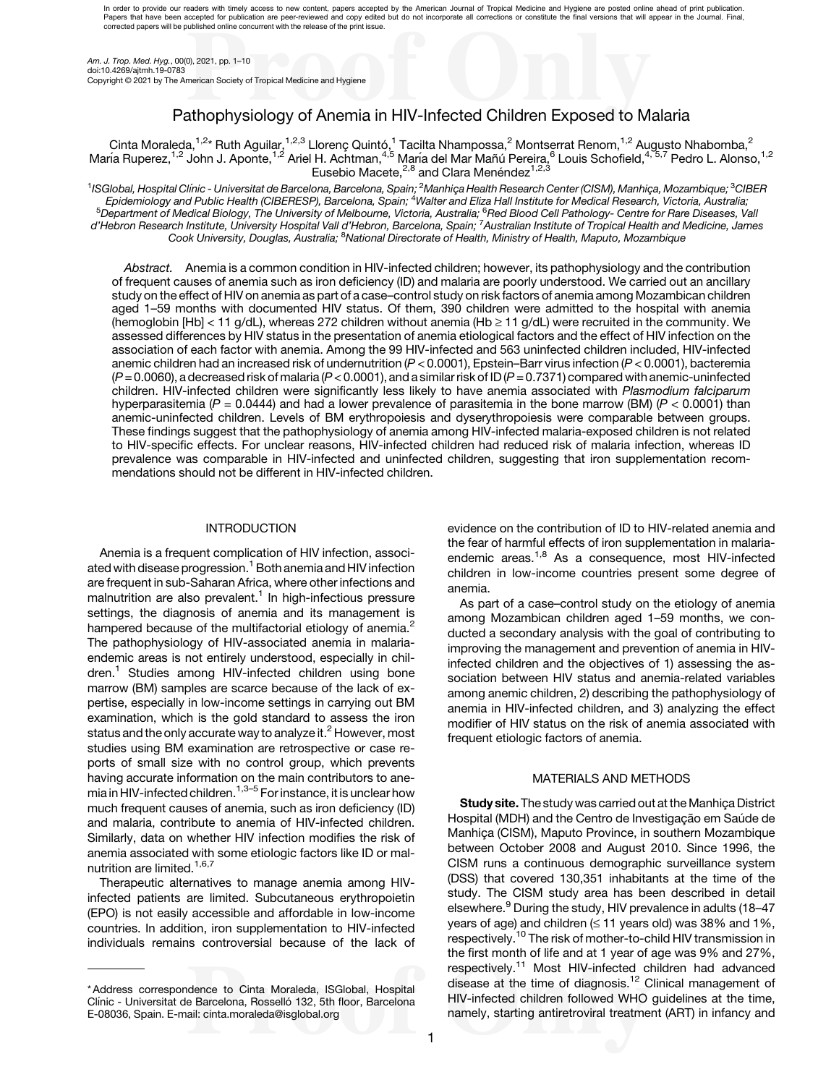In order to provide our readers with timely access to new content, papers accepted by the American Journal of Tropical Medicine and Hygiene are posted online ahead of print publication. Papers that have been accepted for publication are peer-reviewed and copy edited but do not incorporate all corrections or constitute the final versions that will appear in the Journal. Final,<br>corrected papers will be publ

Am. J. Trop. Med. Hyg., 00(0), 2021, pp. 1–10 doi:10.4269/ajtmh.19-0783 Copyright © 2021 by The American Society of Tropical Medicine and Hygiene

# Pathophysiology of Anemia in HIV-Infected Children Exposed to Malaria

Cinta Moraleda,<sup>1,2</sup>\* Ruth Aguilar,<sup>1,2,3</sup> Llorenç Quintó,<sup>1</sup> Tacilta Nhampossa,<sup>2</sup> Montserrat Renom,<sup>1,2</sup> Augusto Nhabomba,<sup>2</sup> María Ruperez,<sup>1,2</sup> John J. Aponte,<sup>1,2</sup> Ariel H. Achtman,<sup>4,5</sup> María del Mar Mañú Pereira,<sup>6</sup> Louis Schofield,<sup>4,5,7</sup> Pedro L. Alonso,<sup>1,2</sup> Eusebio Macete,<sup>2,8</sup> and Clara Menéndez<sup>1,2,3</sup>

<sup>1</sup>ISGlobal, Hospital Clínic - Universitat de Barcelona, Barcelona, Spain; <sup>2</sup>Manhiça Health Research Center (CISM), Manhiça, Mozambique; <sup>3</sup>CIBER<br>Epidemiology and Public Health (CIBERESP), Barcelona, Spain; <sup>4</sup>Walter and <sup>5</sup>Department of Medical Biology, The University of Melbourne, Victoria, Australia; <sup>6</sup>Red Blood Cell Pathology- Centre for Rare Diseases, Vall<br>d'Hebron Research Institute, University Hospital Vall d'Hebron, Barcelona, Spa Cook University, Douglas, Australia; <sup>8</sup>National Directorate of Health, Ministry of Health, Maputo, Mozambique

Abstract. Anemia is a common condition in HIV-infected children; however, its pathophysiology and the contribution of frequent causes of anemia such as iron deficiency (ID) and malaria are poorly understood. We carried out an ancillary study on the effect of HIV on anemia as part of a case–control study on risk factors of anemia among Mozambican children aged 1–59 months with documented HIV status. Of them, 390 children were admitted to the hospital with anemia (hemoglobin [Hb] < 11 g/dL), whereas 272 children without anemia (Hb  $\geq$  11 g/dL) were recruited in the community. We assessed differences by HIV status in the presentation of anemia etiological factors and the effect of HIV infection on the association of each factor with anemia. Among the 99 HIV-infected and 563 uninfected children included, HIV-infected anemic children had an increased risk of undernutrition  $(P < 0.0001)$ , Epstein–Barr virus infection  $(P < 0.0001)$ , bacteremia  $(P= 0.0060)$ , a decreased risk of malaria (P < 0.0001), and a similar risk of ID (P = 0.7371) compared with anemic-uninfected children. HIV-infected children were significantly less likely to have anemia associated with Plasmodium falciparum hyperparasitemia (P = 0.0444) and had a lower prevalence of parasitemia in the bone marrow (BM) (P < 0.0001) than anemic-uninfected children. Levels of BM erythropoiesis and dyserythropoiesis were comparable between groups. These findings suggest that the pathophysiology of anemia among HIV-infected malaria-exposed children is not related to HIV-specific effects. For unclear reasons, HIV-infected children had reduced risk of malaria infection, whereas ID prevalence was comparable in HIV-infected and uninfected children, suggesting that iron supplementation recommendations should not be different in HIV-infected children.

# **INTRODUCTION**

Anemia is a frequent complication of HIV infection, associ-ated with disease progression.<sup>[1](#page-8-0)</sup> Both anemia and HIV infection are frequent in sub-Saharan Africa, where other infections and malnutrition are also prevalent.<sup>[1](#page-8-0)</sup> In high-infectious pressure settings, the diagnosis of anemia and its management is hampered because of the multifactorial etiology of anemia.<sup>[2](#page-8-0)</sup> The pathophysiology of HIV-associated anemia in malariaendemic areas is not entirely understood, especially in children[.1](#page-8-0) Studies among HIV-infected children using bone marrow (BM) samples are scarce because of the lack of expertise, especially in low-income settings in carrying out BM examination, which is the gold standard to assess the iron status and the only accurate way to analyze it.<sup>[2](#page-8-0)</sup> However, most studies using BM examination are retrospective or case reports of small size with no control group, which prevents having accurate information on the main contributors to ane-mia in HIV-infected children.<sup>1,[3](#page-8-0)–[5](#page-8-0)</sup> For instance, it is unclear how much frequent causes of anemia, such as iron deficiency (ID) and malaria, contribute to anemia of HIV-infected children. Similarly, data on whether HIV infection modifies the risk of anemia associated with some etiologic factors like ID or mal-nutrition are limited.<sup>[1,6](#page-8-0),[7](#page-8-0)</sup>

Therapeutic alternatives to manage anemia among HIVinfected patients are limited. Subcutaneous erythropoietin (EPO) is not easily accessible and affordable in low-income countries. In addition, iron supplementation to HIV-infected individuals remains controversial because of the lack of evidence on the contribution of ID to HIV-related anemia and the fear of harmful effects of iron supplementation in malaria-endemic areas.<sup>[1,8](#page-8-0)</sup> As a consequence, most HIV-infected children in low-income countries present some degree of anemia.

As part of a case–control study on the etiology of anemia among Mozambican children aged 1–59 months, we conducted a secondary analysis with the goal of contributing to improving the management and prevention of anemia in HIVinfected children and the objectives of 1) assessing the association between HIV status and anemia-related variables among anemic children, 2) describing the pathophysiology of anemia in HIV-infected children, and 3) analyzing the effect modifier of HIV status on the risk of anemia associated with frequent etiologic factors of anemia.

### MATERIALS AND METHODS

Study site. The study was carried out at the Manhiça District Hospital (MDH) and the Centro de Investigação em Saúde de Manhiça (CISM), Maputo Province, in southern Mozambique between October 2008 and August 2010. Since 1996, the CISM runs a continuous demographic surveillance system (DSS) that covered 130,351 inhabitants at the time of the study. The CISM study area has been described in detail elsewhere.<sup>[9](#page-8-0)</sup> During the study, HIV prevalence in adults (18–47 years of age) and children  $( \leq 11$  years old) was 38% and 1%, respectively.<sup>[10](#page-8-0)</sup> The risk of mother-to-child HIV transmission in the first month of life and at 1 year of age was 9% and 27%, respectively.[11](#page-8-0) Most HIV-infected children had advanced disease at the time of diagnosis.<sup>[12](#page-8-0)</sup> Clinical management of HIV-infected children followed WHO guidelines at the time, namely, starting antiretroviral treatment (ART) in infancy and

<sup>\*</sup> Address correspondence to Cinta Moraleda, ISGlobal, Hospital Clínic - Universitat de Barcelona, Rosselló 132, 5th floor, Barcelona E-08036, Spain. E-mail: [cinta.moraleda@isglobal.org](mailto:cinta.moraleda@isglobal.org)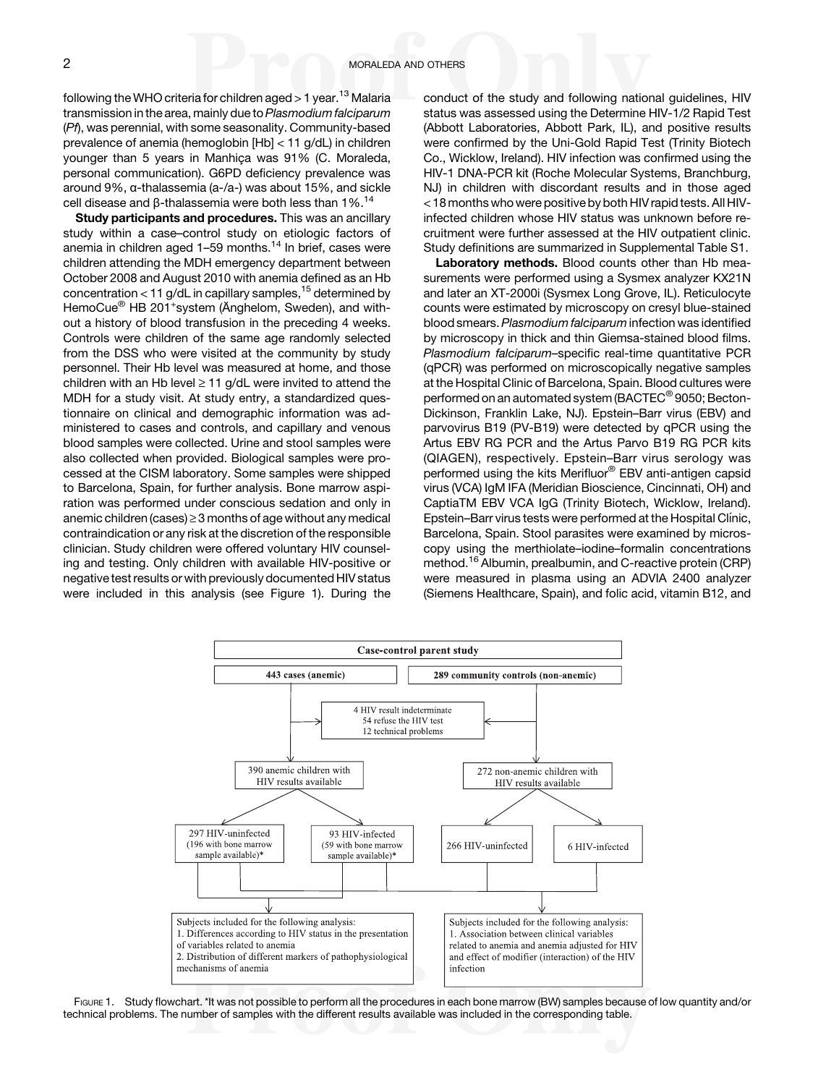<span id="page-1-0"></span>following the WHO criteria for children aged  $>1$  year.<sup>[13](#page-8-0)</sup> Malaria transmission in the area, mainly due to Plasmodium falciparum (Pf), was perennial, with some seasonality. Community-based prevalence of anemia (hemoglobin [Hb] < 11 g/dL) in children younger than 5 years in Manhiça was 91% (C. Moraleda, personal communication). G6PD deficiency prevalence was around 9%, α-thalassemia (a-/a-) was about 15%, and sickle cell disease and β-thalassemia were both less than  $1\%$ .<sup>14</sup>

Study participants and procedures. This was an ancillary study within a case–control study on etiologic factors of anemia in children aged 1-59 months.<sup>[14](#page-8-0)</sup> In brief, cases were children attending the MDH emergency department between October 2008 and August 2010 with anemia defined as an Hb concentration < 11 g/dL in capillary samples,<sup>[15](#page-8-0)</sup> determined by HemoCue<sup>®</sup> HB 201<sup>+</sup>system (Änghelom, Sweden), and without a history of blood transfusion in the preceding 4 weeks. Controls were children of the same age randomly selected from the DSS who were visited at the community by study personnel. Their Hb level was measured at home, and those children with an Hb level  $\geq 11$  g/dL were invited to attend the MDH for a study visit. At study entry, a standardized questionnaire on clinical and demographic information was administered to cases and controls, and capillary and venous blood samples were collected. Urine and stool samples were also collected when provided. Biological samples were processed at the CISM laboratory. Some samples were shipped to Barcelona, Spain, for further analysis. Bone marrow aspiration was performed under conscious sedation and only in anemic children (cases)  $\geq$  3 months of age without any medical contraindication or any risk at the discretion of the responsible clinician. Study children were offered voluntary HIV counseling and testing. Only children with available HIV-positive or negative test results or with previously documented HIV status were included in this analysis (see Figure 1). During the conduct of the study and following national guidelines, HIV status was assessed using the Determine HIV-1/2 Rapid Test (Abbott Laboratories, Abbott Park, IL), and positive results were confirmed by the Uni-Gold Rapid Test (Trinity Biotech Co., Wicklow, Ireland). HIV infection was confirmed using the HIV-1 DNA-PCR kit (Roche Molecular Systems, Branchburg, NJ) in children with discordant results and in those aged < 18 months who were positive by both HIV rapid tests. All HIVinfected children whose HIV status was unknown before recruitment were further assessed at the HIV outpatient clinic. Study definitions are summarized in Supplemental Table S1.

Laboratory methods. Blood counts other than Hb measurements were performed using a Sysmex analyzer KX21N and later an XT-2000i (Sysmex Long Grove, IL). Reticulocyte counts were estimated by microscopy on cresyl blue-stained blood smears. Plasmodium falciparum infection was identified by microscopy in thick and thin Giemsa-stained blood films. Plasmodium falciparum–specific real-time quantitative PCR (qPCR) was performed on microscopically negative samples at the Hospital Clinic of Barcelona, Spain. Blood cultures were performed on an automated system (BACTEC® 9050; Becton-Dickinson, Franklin Lake, NJ). Epstein–Barr virus (EBV) and parvovirus B19 (PV-B19) were detected by qPCR using the Artus EBV RG PCR and the Artus Parvo B19 RG PCR kits (QIAGEN), respectively. Epstein–Barr virus serology was performed using the kits Merifluor® EBV anti-antigen capsid virus (VCA) IgM IFA (Meridian Bioscience, Cincinnati, OH) and CaptiaTM EBV VCA IgG (Trinity Biotech, Wicklow, Ireland). Epstein–Barr virus tests were performed at the Hospital Clínic, Barcelona, Spain. Stool parasites were examined by microscopy using the merthiolate–iodine–formalin concentrations method.<sup>[16](#page-8-0)</sup> Albumin, prealbumin, and C-reactive protein (CRP) were measured in plasma using an ADVIA 2400 analyzer (Siemens Healthcare, Spain), and folic acid, vitamin B12, and



FIGURE 1. Study flowchart. \*It was not possible to perform all the procedures in each bone marrow (BW) samples because of low quantity and/or technical problems. The number of samples with the different results available was included in the corresponding table.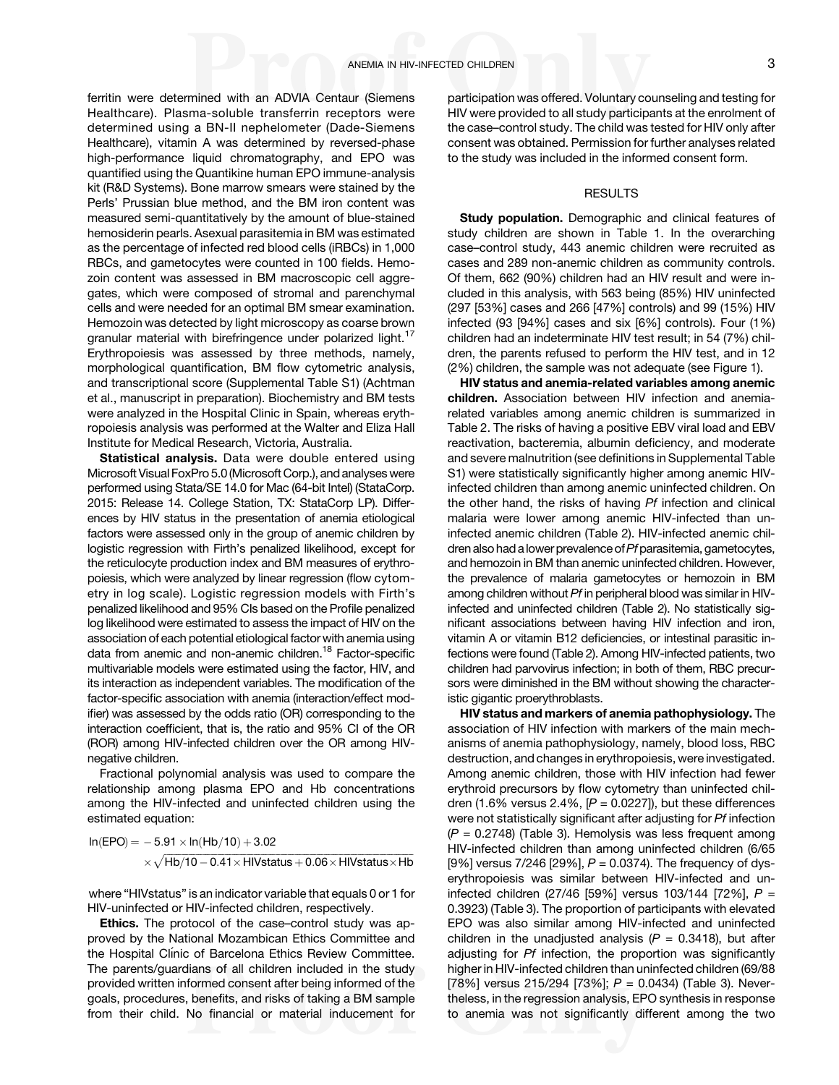ferritin were determined with an ADVIA Centaur (Siemens Healthcare). Plasma-soluble transferrin receptors were determined using a BN-II nephelometer (Dade-Siemens Healthcare), vitamin A was determined by reversed-phase high-performance liquid chromatography, and EPO was quantified using the Quantikine human EPO immune-analysis kit (R&D Systems). Bone marrow smears were stained by the Perls' Prussian blue method, and the BM iron content was measured semi-quantitatively by the amount of blue-stained hemosiderin pearls. Asexual parasitemia in BM was estimated as the percentage of infected red blood cells (iRBCs) in 1,000 RBCs, and gametocytes were counted in 100 fields. Hemozoin content was assessed in BM macroscopic cell aggregates, which were composed of stromal and parenchymal cells and were needed for an optimal BM smear examination. Hemozoin was detected by light microscopy as coarse brown granular material with birefringence under polarized light.<sup>[17](#page-8-0)</sup> Erythropoiesis was assessed by three methods, namely, morphological quantification, BM flow cytometric analysis, and transcriptional score (Supplemental Table S1) (Achtman et al., manuscript in preparation). Biochemistry and BM tests were analyzed in the Hospital Clinic in Spain, whereas erythropoiesis analysis was performed at the Walter and Eliza Hall Institute for Medical Research, Victoria, Australia.

Statistical analysis. Data were double entered using Microsoft Visual FoxPro 5.0 (Microsoft Corp.), and analyses were performed using Stata/SE 14.0 for Mac (64-bit Intel) (StataCorp. 2015: Release 14. College Station, TX: StataCorp LP). Differences by HIV status in the presentation of anemia etiological factors were assessed only in the group of anemic children by logistic regression with Firth's penalized likelihood, except for the reticulocyte production index and BM measures of erythropoiesis, which were analyzed by linear regression (flow cytometry in log scale). Logistic regression models with Firth's penalized likelihood and 95% CIs based on the Profile penalized log likelihood were estimated to assess the impact of HIV on the association of each potential etiological factor with anemia using data from anemic and non-anemic children.<sup>18</sup> Factor-specific multivariable models were estimated using the factor, HIV, and its interaction as independent variables. The modification of the factor-specific association with anemia (interaction/effect modifier) was assessed by the odds ratio (OR) corresponding to the interaction coefficient, that is, the ratio and 95% CI of the OR (ROR) among HIV-infected children over the OR among HIVnegative children.

Fractional polynomial analysis was used to compare the relationship among plasma EPO and Hb concentrations among the HIV-infected and uninfected children using the estimated equation:

 $\ln(\text{EPO}) = -5.91 \times \ln(\text{Hb}/10) + 3.02$  $\times\sqrt{\mathsf{H}{\mathsf{b}}/ \mathsf{10}}-\mathsf{0.41}\times\mathsf{H}{\mathsf{I}}{\mathsf{V}}$ status  $+$  0.06 $\times$  HIVstatus $\times$  Hb

where "HIVstatus" is an indicator variable that equals 0 or 1 for HIV-uninfected or HIV-infected children, respectively.

Ethics. The protocol of the case–control study was approved by the National Mozambican Ethics Committee and the Hospital Clínic of Barcelona Ethics Review Committee. The parents/guardians of all children included in the study provided written informed consent after being informed of the goals, procedures, benefits, and risks of taking a BM sample from their child. No financial or material inducement for

participation was offered. Voluntary counseling and testing for HIV were provided to all study participants at the enrolment of the case–control study. The child was tested for HIV only after consent was obtained. Permission for further analyses related to the study was included in the informed consent form.

# RESULTS

Study population. Demographic and clinical features of study children are shown in [Table 1](#page-3-0). In the overarching case–control study, 443 anemic children were recruited as cases and 289 non-anemic children as community controls. Of them, 662 (90%) children had an HIV result and were included in this analysis, with 563 being (85%) HIV uninfected (297 [53%] cases and 266 [47%] controls) and 99 (15%) HIV infected (93 [94%] cases and six [6%] controls). Four (1%) children had an indeterminate HIV test result; in 54 (7%) children, the parents refused to perform the HIV test, and in 12 (2%) children, the sample was not adequate (see [Figure 1\)](#page-1-0).

HIV status and anemia-related variables among anemic children. Association between HIV infection and anemiarelated variables among anemic children is summarized in [Table 2.](#page-4-0) The risks of having a positive EBV viral load and EBV reactivation, bacteremia, albumin deficiency, and moderate and severe malnutrition (see definitions in Supplemental Table S1) were statistically significantly higher among anemic HIVinfected children than among anemic uninfected children. On the other hand, the risks of having Pf infection and clinical malaria were lower among anemic HIV-infected than uninfected anemic children [\(Table 2\)](#page-4-0). HIV-infected anemic children also had a lower prevalence of Pf parasitemia, gametocytes, and hemozoin in BM than anemic uninfected children. However, the prevalence of malaria gametocytes or hemozoin in BM among children without Pf in peripheral blood was similar in HIVinfected and uninfected children [\(Table 2\)](#page-4-0). No statistically significant associations between having HIV infection and iron, vitamin A or vitamin B12 deficiencies, or intestinal parasitic infections were found [\(Table 2](#page-4-0)). Among HIV-infected patients, two children had parvovirus infection; in both of them, RBC precursors were diminished in the BM without showing the characteristic gigantic proerythroblasts.

HIV status and markers of anemia pathophysiology. The association of HIV infection with markers of the main mechanisms of anemia pathophysiology, namely, blood loss, RBC destruction, and changes in erythropoiesis, were investigated. Among anemic children, those with HIV infection had fewer erythroid precursors by flow cytometry than uninfected children (1.6% versus 2.4%,  $[P = 0.0227]$ ), but these differences were not statistically significant after adjusting for Pf infection  $(P = 0.2748)$  [\(Table 3\)](#page-4-0). Hemolysis was less frequent among HIV-infected children than among uninfected children (6/65 [9%] versus 7/246 [29%],  $P = 0.0374$ ). The frequency of dyserythropoiesis was similar between HIV-infected and uninfected children (27/46 [59%] versus 103/144 [72%],  $P =$ 0.3923) [\(Table 3](#page-4-0)). The proportion of participants with elevated EPO was also similar among HIV-infected and uninfected children in the unadjusted analysis ( $P = 0.3418$ ), but after adjusting for Pf infection, the proportion was significantly higher in HIV-infected children than uninfected children (69/88 [78%] versus 215/294 [73%];  $P = 0.0434$ ) ([Table 3](#page-4-0)). Nevertheless, in the regression analysis, EPO synthesis in response to anemia was not significantly different among the two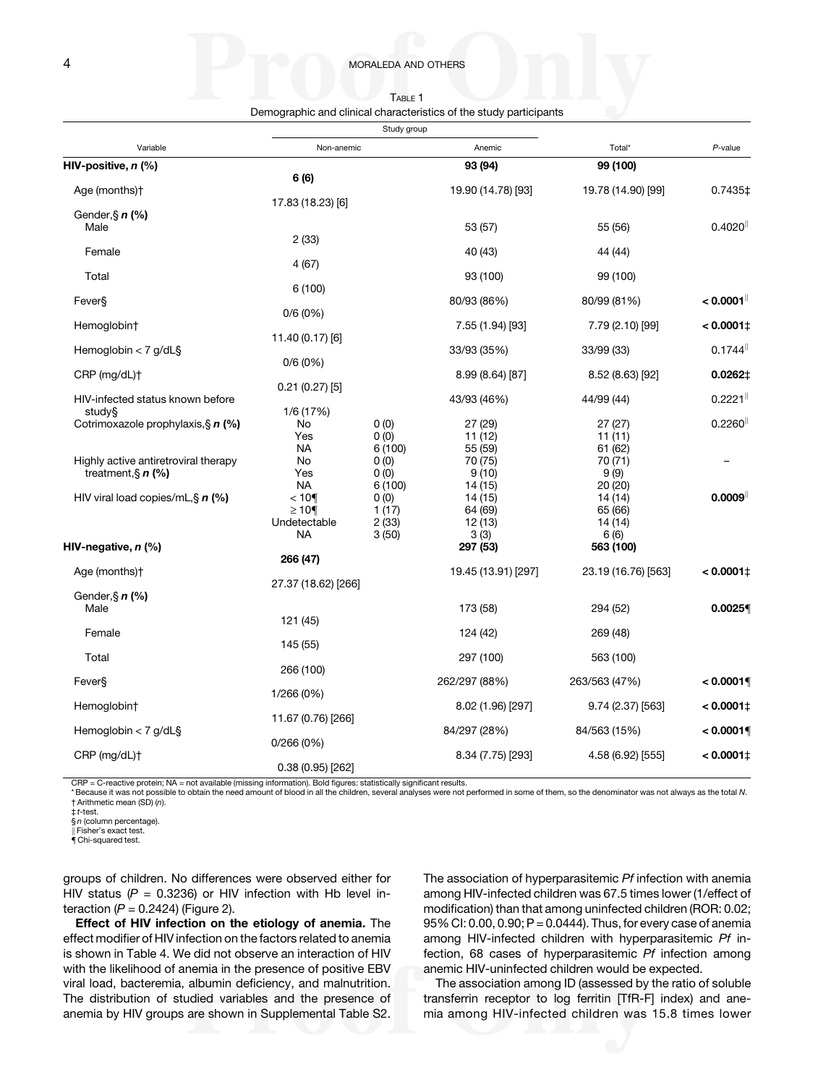| TABLE 1                                                            |  |
|--------------------------------------------------------------------|--|
| Demographic and clinical characteristics of the study participants |  |

<span id="page-3-0"></span>

|                                                                      | Study group                                      |                                  |                                          |                                          |                        |
|----------------------------------------------------------------------|--------------------------------------------------|----------------------------------|------------------------------------------|------------------------------------------|------------------------|
| Variable                                                             | Non-anemic                                       |                                  | Anemic                                   | Total*                                   | $P$ -value             |
| HIV-positive, <i>n</i> (%)                                           |                                                  |                                  | 93 (94)                                  | 99 (100)                                 |                        |
| Age (months)+                                                        | 6 (6)<br>17.83 (18.23) [6]                       |                                  | 19.90 (14.78) [93]                       | 19.78 (14.90) [99]                       | 0.7435‡                |
| Gender, § $n$ (%)<br>Male                                            |                                                  |                                  | 53 (57)                                  | 55 (56)                                  | $0.4020$ <sup>  </sup> |
| Female                                                               | 2(33)                                            |                                  | 40 (43)                                  | 44 (44)                                  |                        |
| Total                                                                | 4(67)                                            |                                  | 93 (100)                                 | 99 (100)                                 |                        |
| Fever§                                                               | 6(100)                                           |                                  | 80/93 (86%)                              | 80/99 (81%)                              | < 0.0001               |
| Hemoglobin†                                                          | 0/6(0%)                                          |                                  | 7.55 (1.94) [93]                         | 7.79 (2.10) [99]                         | $< 0.0001$ ‡           |
| Hemoglobin $<$ 7 g/dL§                                               | 11.40 (0.17) [6]                                 |                                  | 33/93 (35%)                              | 33/99 (33)                               | 0.1744                 |
| $CRP$ (mg/dL) $\dagger$                                              | 0/6(0%)                                          |                                  | 8.99 (8.64) [87]                         | 8.52 (8.63) [92]                         | 0.0262‡                |
| HIV-infected status known before                                     | 0.21(0.27)[5]                                    |                                  | 43/93 (46%)                              | 44/99 (44)                               | 0.2221                 |
| study§<br>Cotrimoxazole prophylaxis, § $n$ (%)                       | 1/6 (17%)<br>No<br>Yes                           | 0(0)<br>0(0)                     | 27 (29)<br>11(12)                        | 27(27)<br>11(11)                         | 0.2260                 |
| Highly active antiretroviral therapy<br>treatment, $\S$ <i>n</i> (%) | <b>NA</b><br>No<br>Yes                           | 6(100)<br>0(0)<br>0(0)           | 55 (59)<br>70 (75)<br>9(10)              | 61 (62)<br>70 (71)<br>9(9)               |                        |
| HIV viral load copies/mL, $\sin(\%)$                                 | <b>NA</b><br>$< 10$ ¶<br>$≥10$ ¶<br>Undetectable | 6(100)<br>0(0)<br>1(17)<br>2(33) | 14 (15)<br>14 (15)<br>64 (69)<br>12 (13) | 20 (20)<br>14 (14)<br>65 (66)<br>14 (14) | 0.0009                 |
| HIV-negative, <i>n</i> (%)                                           | <b>NA</b>                                        | 3(50)                            | 3(3)<br>297 (53)                         | 6(6)<br>563 (100)                        |                        |
| Age (months)+                                                        | 266 (47)<br>27.37 (18.62) [266]                  |                                  | 19.45 (13.91) [297]                      | 23.19 (16.76) [563]                      | $< 0.0001$ ‡           |
| Gender, § $n$ (%)<br>Male                                            |                                                  |                                  | 173 (58)                                 | 294 (52)                                 | 0.00259                |
| Female                                                               | 121 (45)                                         |                                  | 124 (42)                                 | 269 (48)                                 |                        |
| Total                                                                | 145 (55)                                         |                                  | 297 (100)                                | 563 (100)                                |                        |
| Fever§                                                               | 266 (100)                                        |                                  | 262/297 (88%)                            | 263/563 (47%)                            | < 0.0001               |
| Hemoglobin†                                                          | 1/266 (0%)                                       |                                  | 8.02 (1.96) [297]                        | 9.74 (2.37) [563]                        | $< 0.0001$ ‡           |
| Hemoglobin $<$ 7 g/dL§                                               | 11.67 (0.76) [266]                               |                                  | 84/297 (28%)                             | 84/563 (15%)                             | < 0.00019              |
| CRP (mg/dL)+                                                         | 0/266(0%)                                        |                                  | 8.34 (7.75) [293]                        | 4.58 (6.92) [555]                        | $< 0.0001$ ‡           |
|                                                                      | 0.38(0.95)[262]                                  |                                  |                                          |                                          |                        |

CRP = C-reactive protein; NA = not available (missing information). Bold figures: statistically significant results.

\* Because it was not possible to obtain the need amount of blood in all the children, several analyses were not performed in some of them, so the denominator was not always as the total N. † Arithmetic mean (SD) (n).

 $t$ -test

§ *n* (column percentage).

**Fisher's exact test.** 

{ Chi-squared test.

groups of children. No differences were observed either for HIV status ( $P = 0.3236$ ) or HIV infection with Hb level interaction ( $P = 0.2424$ ) (Figure 2).

Effect of HIV infection on the etiology of anemia. The effect modifier of HIV infection on the factors related to anemia is shown in [Table 4](#page-6-0). We did not observe an interaction of HIV with the likelihood of anemia in the presence of positive EBV viral load, bacteremia, albumin deficiency, and malnutrition. The distribution of studied variables and the presence of anemia by HIV groups are shown in Supplemental Table S2.

The association of hyperparasitemic Pf infection with anemia among HIV-infected children was 67.5 times lower (1/effect of modification) than that among uninfected children (ROR: 0.02; 95% CI: 0.00, 0.90; P = 0.0444). Thus, for every case of anemia among HIV-infected children with hyperparasitemic Pf infection, 68 cases of hyperparasitemic Pf infection among anemic HIV-uninfected children would be expected.

The association among ID (assessed by the ratio of soluble transferrin receptor to log ferritin [TfR-F] index) and anemia among HIV-infected children was 15.8 times lower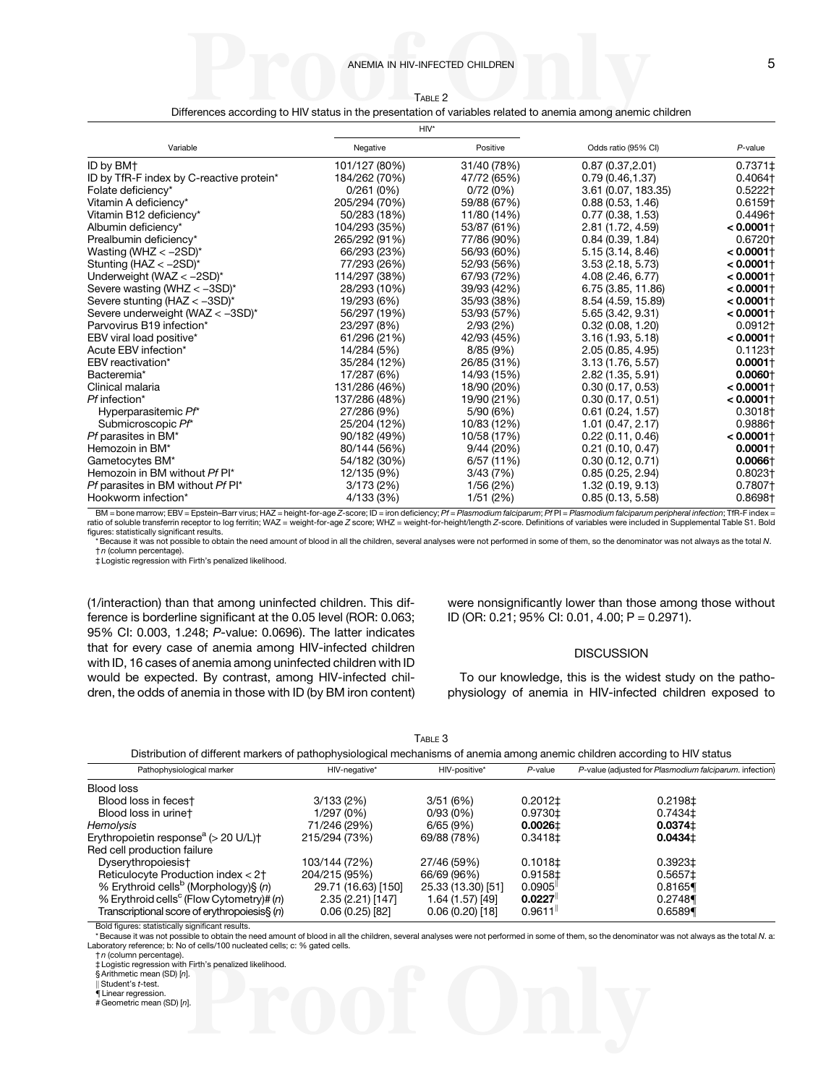TABLE 2 Differences according to HIV status in the presentation of variables related to anemia among anemic children

<span id="page-4-0"></span>

|                                          | $HIV*$        |             |                     |                         |
|------------------------------------------|---------------|-------------|---------------------|-------------------------|
| Variable                                 | Negative      | Positive    | Odds ratio (95% CI) | $P$ -value              |
| ID by BM+                                | 101/127 (80%) | 31/40 (78%) | 0.87(0.37, 2.01)    | 0.7371‡                 |
| ID by TfR-F index by C-reactive protein* | 184/262 (70%) | 47/72 (65%) | 0.79(0.46.1.37)     | 0.4064†                 |
| Folate deficiency*                       | 0/261(0%)     | 0/72(0%)    | 3.61 (0.07, 183.35) | $0.5222$ †              |
| Vitamin A deficiency*                    | 205/294 (70%) | 59/88 (67%) | 0.88(0.53, 1.46)    | $0.6159 +$              |
| Vitamin B12 deficiency*                  | 50/283 (18%)  | 11/80 (14%) | 0.77(0.38, 1.53)    | 0.4496†                 |
| Albumin deficiency*                      | 104/293 (35%) | 53/87 (61%) | 2.81 (1.72, 4.59)   | $< 0.0001$ †            |
| Prealbumin deficiency*                   | 265/292 (91%) | 77/86 (90%) | 0.84(0.39, 1.84)    | 0.6720+                 |
| Wasting (WHZ $<-2SD$ )*                  | 66/293 (23%)  | 56/93 (60%) | 5.15(3.14, 8.46)    | $< 0.0001 +$            |
| Stunting (HAZ < - 2SD)*                  | 77/293 (26%)  | 52/93 (56%) | 3.53(2.18, 5.73)    | $< 0.0001$ †            |
| Underweight (WAZ $<-2SD$ )*              | 114/297 (38%) | 67/93 (72%) | 4.08 (2.46, 6.77)   | $< 0.0001$ †            |
| Severe wasting (WHZ $< -3SD$ )*          | 28/293 (10%)  | 39/93 (42%) | 6.75 (3.85, 11.86)  | $< 0.0001$ †            |
| Severe stunting (HAZ $< -3SD$ )*         | 19/293 (6%)   | 35/93 (38%) | 8.54 (4.59, 15.89)  | $< 0.0001$ <sup>+</sup> |
| Severe underweight (WAZ < -3SD)*         | 56/297 (19%)  | 53/93 (57%) | 5.65 (3.42, 9.31)   | $< 0.0001$ †            |
| Parvovirus B19 infection*                | 23/297 (8%)   | 2/93(2%)    | 0.32(0.08, 1.20)    | $0.0912+$               |
| EBV viral load positive*                 | 61/296 (21%)  | 42/93 (45%) | 3.16(1.93, 5.18)    | $< 0.0001$ <sup>+</sup> |
| Acute EBV infection*                     | 14/284 (5%)   | 8/85 (9%)   | 2.05 (0.85, 4.95)   | $0.1123 +$              |
| EBV reactivation*                        | 35/284 (12%)  | 26/85 (31%) | 3.13(1.76, 5.57)    | $0.0001 +$              |
| Bacteremia*                              | 17/287 (6%)   | 14/93 (15%) | 2.82 (1.35, 5.91)   | $0.0060 +$              |
| Clinical malaria                         | 131/286 (46%) | 18/90 (20%) | 0.30(0.17, 0.53)    | $< 0.0001$ †            |
| Pf infection*                            | 137/286 (48%) | 19/90 (21%) | 0.30(0.17, 0.51)    | $< 0.0001$ †            |
| Hyperparasitemic Pf*                     | 27/286 (9%)   | 5/90(6%)    | 0.61(0.24, 1.57)    | $0.3018 +$              |
| Submicroscopic Pf*                       | 25/204 (12%)  | 10/83 (12%) | 1.01(0.47, 2.17)    | 0.9886+                 |
| Pf parasites in BM*                      | 90/182 (49%)  | 10/58 (17%) | 0.22(0.11, 0.46)    | $< 0.0001$ †            |
| Hemozoin in BM*                          | 80/144 (56%)  | 9/44 (20%)  | 0.21(0.10, 0.47)    | $0.0001 +$              |
| Gametocytes BM*                          | 54/182 (30%)  | 6/57(11%)   | 0.30(0.12, 0.71)    | $0.0066\dagger$         |
| Hemozoin in BM without Pf PI*            | 12/135 (9%)   | 3/43(7%)    | 0.85(0.25, 2.94)    | 0.8023+                 |
| Pf parasites in BM without Pf PI*        | 3/173(2%)     | 1/56(2%)    | 1.32 (0.19, 9.13)   | 0.7807†                 |
| Hookworm infection*                      | 4/133 (3%)    | 1/51 (2%)   | 0.85(0.13, 5.58)    | 0.8698+                 |

BM = bone marrow; EBV = Epstein–Barr virus; HAZ = height-for-age Z-score; ID = iron deficiency; Pf = Plasmodium falciparum; Pf PI = Plasmodium falciparum peripheral infection; TfR-F index = ratio of soluble transferrin receptor to log ferritin; WAZ = weight-for-age Z score; WHZ = weight-for-height/length Z-score. Definitions of variables were included in Supplemental Table S1. Bold figures: statistically significant results.

Because it was not possible to obtain the need amount of blood in all the children, several analyses were not performed in some of them, so the denominator was not always as the total N. † n (column percentage).

‡ Logistic regression with Firth's penalized likelihood.

(1/interaction) than that among uninfected children. This difference is borderline significant at the 0.05 level (ROR: 0.063; 95% CI: 0.003, 1.248; P-value: 0.0696). The latter indicates that for every case of anemia among HIV-infected children with ID, 16 cases of anemia among uninfected children with ID would be expected. By contrast, among HIV-infected children, the odds of anemia in those with ID (by BM iron content)

were nonsignificantly lower than those among those without ID (OR: 0.21; 95% CI: 0.01, 4.00; P = 0.2971).

#### **DISCUSSION**

To our knowledge, this is the widest study on the pathophysiology of anemia in HIV-infected children exposed to

TABLE 3

|  | Distribution of different markers of pathophysiological mechanisms of anemia among anemic children according to HIV status |
|--|----------------------------------------------------------------------------------------------------------------------------|
|  |                                                                                                                            |

| Pathophysiological marker                            | HIV-negative*       | HIV-positive*      | $P$ -value             | P-value (adjusted for Plasmodium falciparum. infection) |
|------------------------------------------------------|---------------------|--------------------|------------------------|---------------------------------------------------------|
| Blood loss                                           |                     |                    |                        |                                                         |
| Blood loss in fecest                                 | 3/133(2%)           | 3/51(6%)           | $0.2012 \pm$           | 0.2198±                                                 |
| Blood loss in urinet                                 | 1/297 (0%)          | 0/93(0%)           | $0.9730 \pm$           | $0.7434 \pm$                                            |
| Hemolysis                                            | 71/246 (29%)        | 6/65(9%)           | $0.0026 \pm$           | $0.0374 \pm$                                            |
| Erythropoietin response $a$ ( $>$ 20 U/L) $\dagger$  | 215/294 (73%)       | 69/88 (78%)        | $0.3418 \pm$           | $0.0434 \pm$                                            |
| Red cell production failure                          |                     |                    |                        |                                                         |
| Dyserythropoiesis†                                   | 103/144 (72%)       | 27/46 (59%)        | 0.1018 <sup>±</sup>    | 0.3923±                                                 |
| Reticulocyte Production index < 2+                   | 204/215 (95%)       | 66/69 (96%)        | $0.9158 \pm$           | 0.5657±                                                 |
| % Erythroid cells <sup>b</sup> (Morphology)§ (n)     | 29.71 (16.63) [150] | 25.33 (13.30) [51] | 0.0905                 | 0.8165                                                  |
| % Erythroid cells <sup>c</sup> (Flow Cytometry)# (n) | 2.35 (2.21) [147]   | 1.64 (1.57) [49]   | 0.0227                 | 0.2748                                                  |
| Transcriptional score of erythropoiesis§ (n)         | 0.06(0.25)[82]      | $0.06(0.20)$ [18]  | $0.9611$ <sup>II</sup> | 0.6589                                                  |

Bold figures: statistically significant results.

\* Because it was not possible to obtain the need amount of blood in all the children, several analyses were not performed in some of them, so the denominator was not always as the total N. a: Laboratory reference; b: No of cells/100 nucleated cells; c: % gated cells.

† n (column percentage).

‡ Logistic regression with Firth's penalized likelihood.

§ Arithmetic mean (SD) [n].

Student's t-test.

 $\H$  Linear regression # Geometric mean (SD) [n].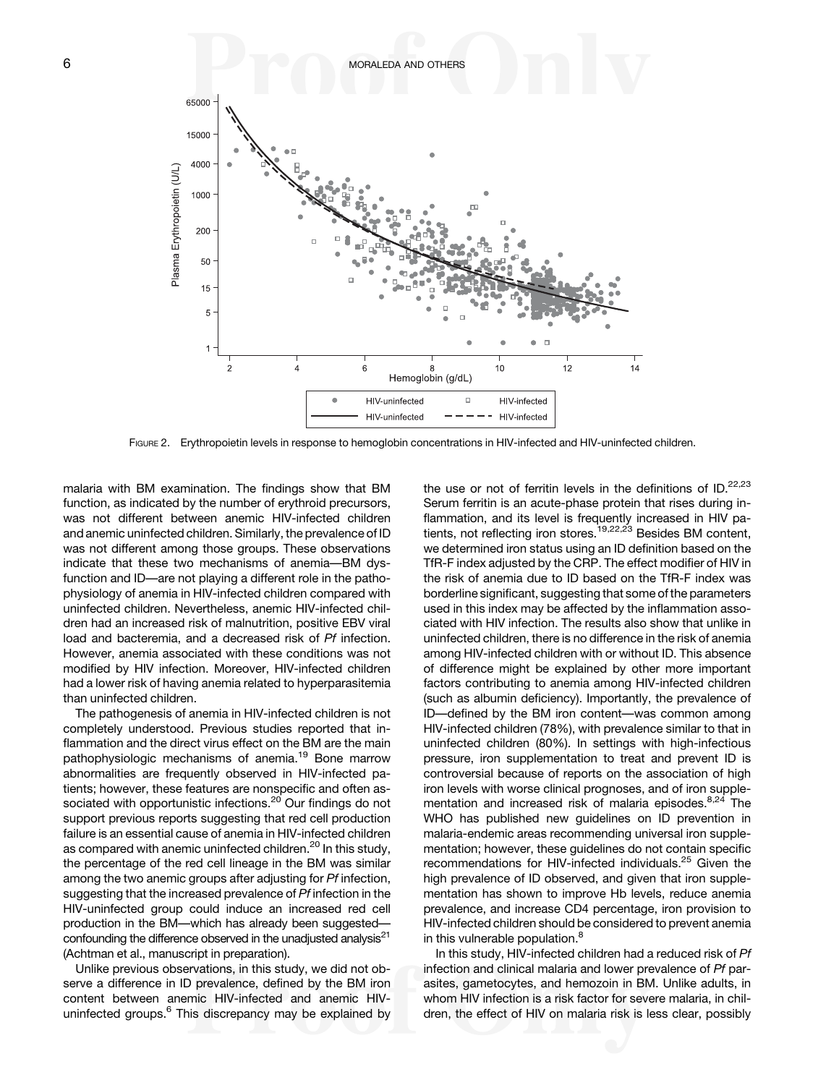

FIGURE 2. Erythropoietin levels in response to hemoglobin concentrations in HIV-infected and HIV-uninfected children.

malaria with BM examination. The findings show that BM function, as indicated by the number of erythroid precursors, was not different between anemic HIV-infected children and anemic uninfected children. Similarly, the prevalence of ID was not different among those groups. These observations indicate that these two mechanisms of anemia—BM dysfunction and ID—are not playing a different role in the pathophysiology of anemia in HIV-infected children compared with uninfected children. Nevertheless, anemic HIV-infected children had an increased risk of malnutrition, positive EBV viral load and bacteremia, and a decreased risk of Pf infection. However, anemia associated with these conditions was not modified by HIV infection. Moreover, HIV-infected children had a lower risk of having anemia related to hyperparasitemia than uninfected children.

The pathogenesis of anemia in HIV-infected children is not completely understood. Previous studies reported that inflammation and the direct virus effect on the BM are the main pathophysiologic mechanisms of anemia.<sup>[19](#page-8-0)</sup> Bone marrow abnormalities are frequently observed in HIV-infected patients; however, these features are nonspecific and often as-sociated with opportunistic infections.<sup>[20](#page-8-0)</sup> Our findings do not support previous reports suggesting that red cell production failure is an essential cause of anemia in HIV-infected children as compared with anemic uninfected children.<sup>[20](#page-8-0)</sup> In this study, the percentage of the red cell lineage in the BM was similar among the two anemic groups after adjusting for Pf infection, suggesting that the increased prevalence of Pf infection in the HIV-uninfected group could induce an increased red cell production in the BM—which has already been suggested confounding the difference observed in the unadjusted analysis<sup>21</sup> (Achtman et al., manuscript in preparation).

Unlike previous observations, in this study, we did not observe a difference in ID prevalence, defined by the BM iron content between anemic HIV-infected and anemic HIV-uninfected groups.<sup>[6](#page-8-0)</sup> This discrepancy may be explained by

the use or not of ferritin levels in the definitions of  $ID.^{22,23}$  $ID.^{22,23}$  $ID.^{22,23}$ Serum ferritin is an acute-phase protein that rises during inflammation, and its level is frequently increased in HIV pa-tients, not reflecting iron stores.<sup>[19,22,23](#page-8-0)</sup> Besides BM content, we determined iron status using an ID definition based on the TfR-F index adjusted by the CRP. The effect modifier of HIV in the risk of anemia due to ID based on the TfR-F index was borderline significant, suggesting that some of the parameters used in this index may be affected by the inflammation associated with HIV infection. The results also show that unlike in uninfected children, there is no difference in the risk of anemia among HIV-infected children with or without ID. This absence of difference might be explained by other more important factors contributing to anemia among HIV-infected children (such as albumin deficiency). Importantly, the prevalence of ID—defined by the BM iron content—was common among HIV-infected children (78%), with prevalence similar to that in uninfected children (80%). In settings with high-infectious pressure, iron supplementation to treat and prevent ID is controversial because of reports on the association of high iron levels with worse clinical prognoses, and of iron supple-mentation and increased risk of malaria episodes.<sup>[8,24](#page-8-0)</sup> The WHO has published new guidelines on ID prevention in malaria-endemic areas recommending universal iron supplementation; however, these guidelines do not contain specific recommendations for HIV-infected individuals.<sup>[25](#page-8-0)</sup> Given the high prevalence of ID observed, and given that iron supplementation has shown to improve Hb levels, reduce anemia prevalence, and increase CD4 percentage, iron provision to HIV-infected children should be considered to prevent anemia in this vulnerable population.<sup>[8](#page-8-0)</sup>

In this study, HIV-infected children had a reduced risk of Pf infection and clinical malaria and lower prevalence of Pf parasites, gametocytes, and hemozoin in BM. Unlike adults, in whom HIV infection is a risk factor for severe malaria, in children, the effect of HIV on malaria risk is less clear, possibly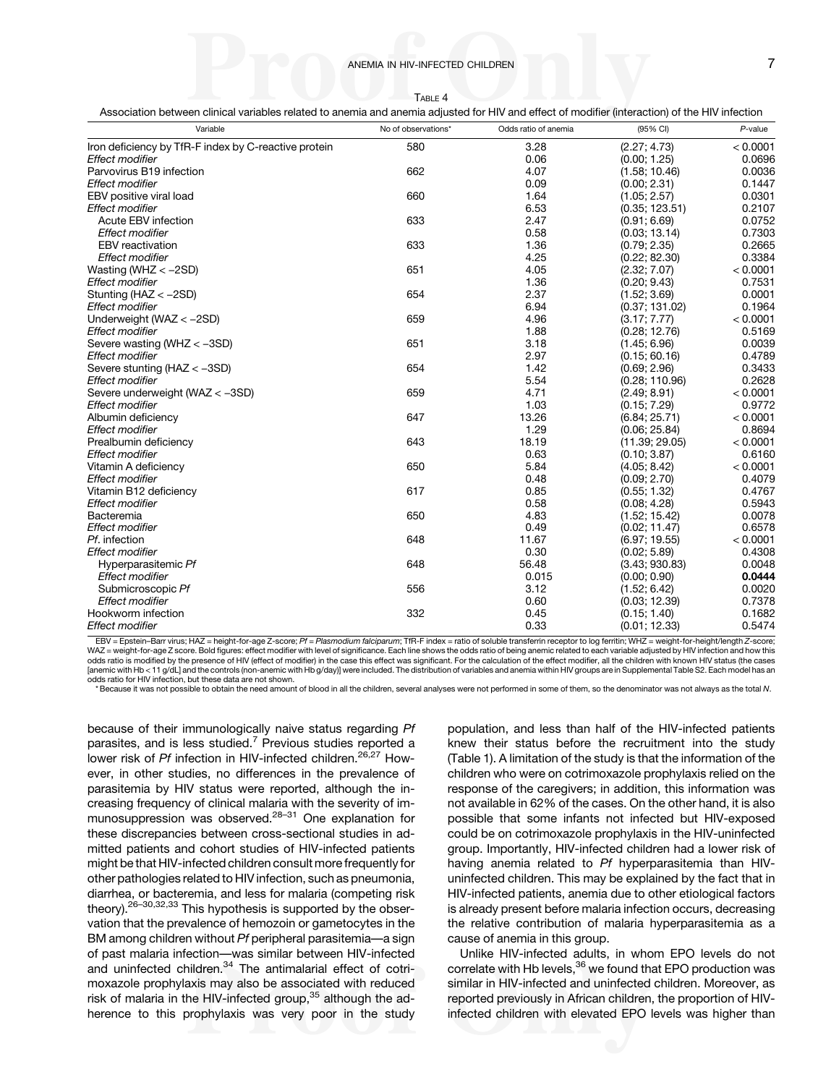TABLE 4

<span id="page-6-0"></span>Association between clinical variables related to anemia and anemia adjusted for HIV and effect of modifier (interaction) of the HIV infection

| Variable                                             | No of observations* | Odds ratio of anemia | (95% CI)       | $P$ -value |
|------------------------------------------------------|---------------------|----------------------|----------------|------------|
| Iron deficiency by TfR-F index by C-reactive protein | 580                 | 3.28                 | (2.27; 4.73)   | < 0.0001   |
| Effect modifier                                      |                     | 0.06                 | (0.00; 1.25)   | 0.0696     |
| Parvovirus B19 infection                             | 662                 | 4.07                 | (1.58; 10.46)  | 0.0036     |
| <b>Effect modifier</b>                               |                     | 0.09                 | (0.00; 2.31)   | 0.1447     |
| EBV positive viral load                              | 660                 | 1.64                 | (1.05; 2.57)   | 0.0301     |
| <b>Effect modifier</b>                               |                     | 6.53                 | (0.35; 123.51) | 0.2107     |
| Acute EBV infection                                  | 633                 | 2.47                 | (0.91; 6.69)   | 0.0752     |
| <b>Effect modifier</b>                               |                     | 0.58                 | (0.03; 13.14)  | 0.7303     |
| <b>EBV</b> reactivation                              | 633                 | 1.36                 | (0.79; 2.35)   | 0.2665     |
| <b>Effect modifier</b>                               |                     | 4.25                 | (0.22; 82.30)  | 0.3384     |
| Wasting (WHZ $<-2SD$ )                               | 651                 | 4.05                 | (2.32; 7.07)   | < 0.0001   |
| Effect modifier                                      |                     | 1.36                 | (0.20; 9.43)   | 0.7531     |
| Stunting ( $HAZ < -2SD$ )                            | 654                 | 2.37                 | (1.52; 3.69)   | 0.0001     |
| Effect modifier                                      |                     | 6.94                 | (0.37; 131.02) | 0.1964     |
| Underweight (WAZ $<-2SD$ )                           | 659                 | 4.96                 | (3.17; 7.77)   | < 0.0001   |
| <b>Effect modifier</b>                               |                     | 1.88                 | (0.28; 12.76)  | 0.5169     |
| Severe wasting (WHZ < -3SD)                          | 651                 | 3.18                 | (1.45; 6.96)   | 0.0039     |
| <b>Effect modifier</b>                               |                     | 2.97                 | (0.15; 60.16)  | 0.4789     |
| Severe stunting ( $HAZ < -3SD$ )                     | 654                 | 1.42                 | (0.69; 2.96)   | 0.3433     |
| <b>Effect modifier</b>                               |                     | 5.54                 | (0.28; 110.96) | 0.2628     |
| Severe underweight (WAZ < -3SD)                      | 659                 | 4.71                 | (2.49; 8.91)   | < 0.0001   |
| Effect modifier                                      |                     | 1.03                 | (0.15; 7.29)   | 0.9772     |
| Albumin deficiency                                   | 647                 | 13.26                | (6.84; 25.71)  | < 0.0001   |
| <b>Effect modifier</b>                               |                     | 1.29                 | (0.06; 25.84)  | 0.8694     |
| Prealbumin deficiency                                | 643                 | 18.19                | (11.39; 29.05) | < 0.0001   |
| <b>Effect modifier</b>                               |                     | 0.63                 | (0.10; 3.87)   | 0.6160     |
| Vitamin A deficiency                                 | 650                 | 5.84                 | (4.05; 8.42)   | < 0.0001   |
| <b>Effect modifier</b>                               |                     | 0.48                 | (0.09; 2.70)   | 0.4079     |
| Vitamin B12 deficiency                               | 617                 | 0.85                 | (0.55; 1.32)   | 0.4767     |
| <b>Effect modifier</b>                               |                     | 0.58                 | (0.08; 4.28)   | 0.5943     |
| Bacteremia                                           | 650                 | 4.83                 | (1.52; 15.42)  | 0.0078     |
| <b>Effect modifier</b>                               |                     | 0.49                 | (0.02; 11.47)  | 0.6578     |
| Pf. infection                                        | 648                 | 11.67                | (6.97; 19.55)  | < 0.0001   |
| <b>Effect modifier</b>                               |                     | 0.30                 | (0.02; 5.89)   | 0.4308     |
| Hyperparasitemic Pf                                  | 648                 | 56.48                | (3.43; 930.83) | 0.0048     |
| <b>Effect modifier</b>                               |                     | 0.015                | (0.00; 0.90)   | 0.0444     |
| Submicroscopic Pf                                    | 556                 | 3.12                 | (1.52; 6.42)   | 0.0020     |
| <b>Effect modifier</b>                               |                     | 0.60                 | (0.03; 12.39)  | 0.7378     |
| Hookworm infection                                   | 332                 | 0.45                 | (0.15; 1.40)   | 0.1682     |
| <b>Effect modifier</b>                               |                     | 0.33                 | (0.01; 12.33)  | 0.5474     |

EBV = Epstein-Barr virus; HAZ = height-for-age Z-score; Pf = Plasmodium falciparum; TfR-F index = ratio of soluble transferrin receptor to log ferritin; WHZ = weight-for-height/length Z-score; WAZ = weight-for-age Z score. Bold figures: effect modifier with level of significance. Each line shows the odds ratio of being anemic related to each variable adjusted by HIV infection and how this odds ratio is modified by the presence of HIV (effect of modifier) in the case this effect was significant. For the calculation of the effect modifier, all the children with known HIV status (the cases [anemic with Hb < 11 g/dL] and the controls (non-anemic with Hb g/day)] were included. The distribution of variables and anemia within HIV groups are in Supplemental Table S2. Each model has an odds ratio for HIV infection, but these data are not shown.

\* Because it was not possible to obtain the need amount of blood in all the children, several analyses were not performed in some of them, so the denominator was not always as the total N.

because of their immunologically naive status regarding Pf parasites, and is less studied.<sup>[7](#page-8-0)</sup> Previous studies reported a lower risk of Pf infection in HIV-infected children.<sup>[26,27](#page-8-0)</sup> However, in other studies, no differences in the prevalence of parasitemia by HIV status were reported, although the increasing frequency of clinical malaria with the severity of immunosuppression was observed.[28](#page-8-0)–[31](#page-8-0) One explanation for these discrepancies between cross-sectional studies in admitted patients and cohort studies of HIV-infected patients might be that HIV-infected children consult more frequently for other pathologies related to HIV infection, such as pneumonia, diarrhea, or bacteremia, and less for malaria (competing risk theory).<sup>26–[30,32,33](#page-8-0)</sup> This hypothesis is supported by the observation that the prevalence of hemozoin or gametocytes in the BM among children without Pf peripheral parasitemia—a sign of past malaria infection—was similar between HIV-infected and uninfected children.<sup>[34](#page-8-0)</sup> The antimalarial effect of cotrimoxazole prophylaxis may also be associated with reduced risk of malaria in the HIV-infected group,<sup>[35](#page-8-0)</sup> although the adherence to this prophylaxis was very poor in the study

population, and less than half of the HIV-infected patients knew their status before the recruitment into the study [\(Table 1\)](#page-3-0). A limitation of the study is that the information of the children who were on cotrimoxazole prophylaxis relied on the response of the caregivers; in addition, this information was not available in 62% of the cases. On the other hand, it is also possible that some infants not infected but HIV-exposed could be on cotrimoxazole prophylaxis in the HIV-uninfected group. Importantly, HIV-infected children had a lower risk of having anemia related to Pf hyperparasitemia than HIVuninfected children. This may be explained by the fact that in HIV-infected patients, anemia due to other etiological factors is already present before malaria infection occurs, decreasing the relative contribution of malaria hyperparasitemia as a cause of anemia in this group.

Unlike HIV-infected adults, in whom EPO levels do not correlate with Hb levels, $36$  we found that EPO production was similar in HIV-infected and uninfected children. Moreover, as reported previously in African children, the proportion of HIVinfected children with elevated EPO levels was higher than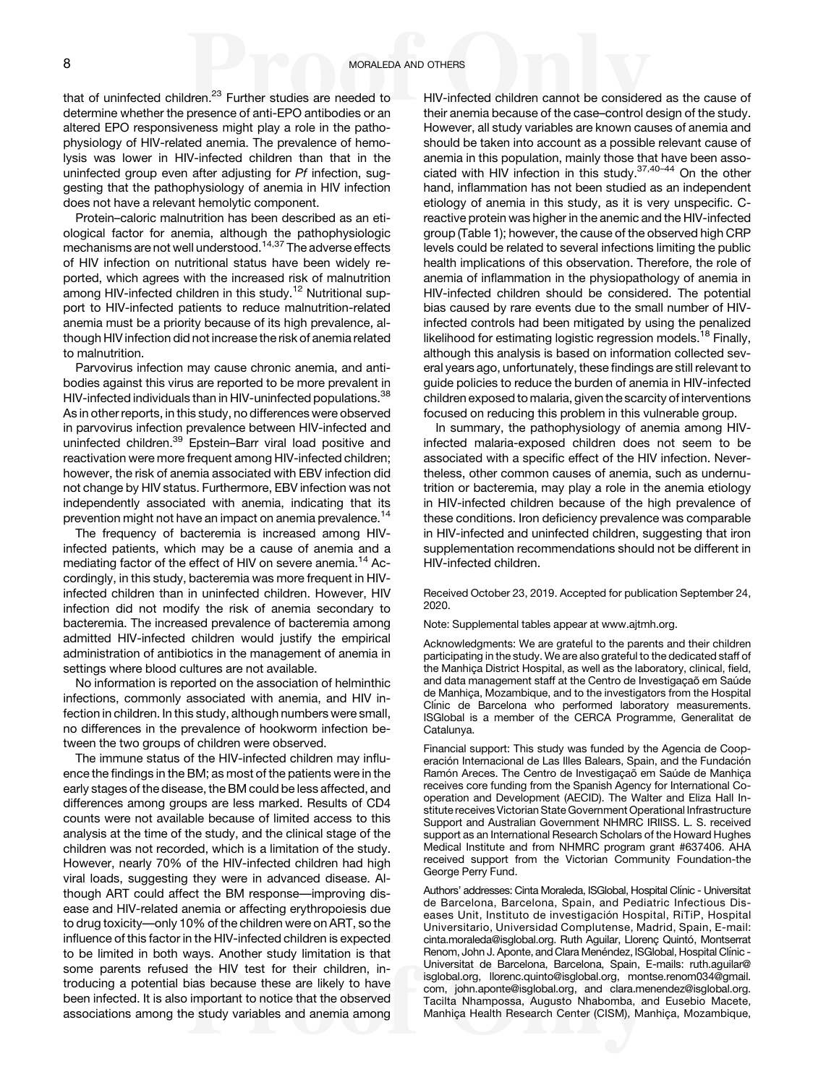that of uninfected children. $23$  Further studies are needed to determine whether the presence of anti-EPO antibodies or an altered EPO responsiveness might play a role in the pathophysiology of HIV-related anemia. The prevalence of hemolysis was lower in HIV-infected children than that in the uninfected group even after adjusting for Pf infection, suggesting that the pathophysiology of anemia in HIV infection does not have a relevant hemolytic component.

Protein–caloric malnutrition has been described as an etiological factor for anemia, although the pathophysiologic mechanisms are not well understood.[14](#page-8-0)[,37](#page-9-0) The adverse effects of HIV infection on nutritional status have been widely reported, which agrees with the increased risk of malnutrition among HIV-infected children in this study.<sup>[12](#page-8-0)</sup> Nutritional support to HIV-infected patients to reduce malnutrition-related anemia must be a priority because of its high prevalence, although HIV infection did not increase the risk of anemia related to malnutrition.

Parvovirus infection may cause chronic anemia, and antibodies against this virus are reported to be more prevalent in HIV-infected individuals than in HIV-uninfected populations.<sup>[38](#page-9-0)</sup> As in other reports, in this study, no differences were observed in parvovirus infection prevalence between HIV-infected and uninfected children[.39](#page-9-0) Epstein–Barr viral load positive and reactivation were more frequent among HIV-infected children; however, the risk of anemia associated with EBV infection did not change by HIV status. Furthermore, EBV infection was not independently associated with anemia, indicating that its prevention might not have an impact on anemia prevalence.<sup>[14](#page-8-0)</sup>

The frequency of bacteremia is increased among HIVinfected patients, which may be a cause of anemia and a mediating factor of the effect of HIV on severe anemia.<sup>[14](#page-8-0)</sup> Accordingly, in this study, bacteremia was more frequent in HIVinfected children than in uninfected children. However, HIV infection did not modify the risk of anemia secondary to bacteremia. The increased prevalence of bacteremia among admitted HIV-infected children would justify the empirical administration of antibiotics in the management of anemia in settings where blood cultures are not available.

No information is reported on the association of helminthic infections, commonly associated with anemia, and HIV infection in children. In this study, although numbers were small, no differences in the prevalence of hookworm infection between the two groups of children were observed.

The immune status of the HIV-infected children may influence the findings in the BM; as most of the patients were in the early stages of the disease, the BM could be less affected, and differences among groups are less marked. Results of CD4 counts were not available because of limited access to this analysis at the time of the study, and the clinical stage of the children was not recorded, which is a limitation of the study. However, nearly 70% of the HIV-infected children had high viral loads, suggesting they were in advanced disease. Although ART could affect the BM response—improving disease and HIV-related anemia or affecting erythropoiesis due to drug toxicity—only 10% of the children were on ART, so the influence of this factor in the HIV-infected children is expected to be limited in both ways. Another study limitation is that some parents refused the HIV test for their children, introducing a potential bias because these are likely to have been infected. It is also important to notice that the observed associations among the study variables and anemia among HIV-infected children cannot be considered as the cause of their anemia because of the case–control design of the study. However, all study variables are known causes of anemia and should be taken into account as a possible relevant cause of anemia in this population, mainly those that have been asso-ciated with HIV infection in this study.<sup>[37,40](#page-9-0)-[44](#page-9-0)</sup> On the other hand, inflammation has not been studied as an independent etiology of anemia in this study, as it is very unspecific. Creactive protein was higher in the anemic and the HIV-infected group [\(Table 1\)](#page-3-0); however, the cause of the observed high CRP levels could be related to several infections limiting the public health implications of this observation. Therefore, the role of anemia of inflammation in the physiopathology of anemia in HIV-infected children should be considered. The potential bias caused by rare events due to the small number of HIVinfected controls had been mitigated by using the penalized likelihood for estimating logistic regression models.<sup>[18](#page-8-0)</sup> Finally, although this analysis is based on information collected several years ago, unfortunately, these findings are still relevant to guide policies to reduce the burden of anemia in HIV-infected children exposed to malaria, given the scarcity of interventions focused on reducing this problem in this vulnerable group.

In summary, the pathophysiology of anemia among HIVinfected malaria-exposed children does not seem to be associated with a specific effect of the HIV infection. Nevertheless, other common causes of anemia, such as undernutrition or bacteremia, may play a role in the anemia etiology in HIV-infected children because of the high prevalence of these conditions. Iron deficiency prevalence was comparable in HIV-infected and uninfected children, suggesting that iron supplementation recommendations should not be different in HIV-infected children.

Received October 23, 2019. Accepted for publication September 24, 2020.

Note: Supplemental tables appear at [www.ajtmh.org.](http://www.ajtmh.org)

Acknowledgments: We are grateful to the parents and their children participating in the study. We are also grateful to the dedicated staff of the Manhiça District Hospital, as well as the laboratory, clinical, field, and data management staff at the Centro de Investigação em Saúde de Manhiça, Mozambique, and to the investigators from the Hospital Clínic de Barcelona who performed laboratory measurements. ISGlobal is a member of the CERCA Programme, Generalitat de Catalunya.

Financial support: This study was funded by the Agencia de Cooperación Internacional de Las Illes Balears, Spain, and the Fundación Ramón Areces. The Centro de Investigação em Saúde de Manhiça receives core funding from the Spanish Agency for International Cooperation and Development (AECID). The Walter and Eliza Hall Institute receives Victorian State Government Operational Infrastructure Support and Australian Government NHMRC IRIISS. L. S. received support as an International Research Scholars of the Howard Hughes Medical Institute and from NHMRC program grant #637406. AHA received support from the Victorian Community Foundation-the George Perry Fund.

Authors' addresses: Cinta Moraleda, ISGlobal, Hospital Clínic - Universitat de Barcelona, Barcelona, Spain, and Pediatric Infectious Diseases Unit, Instituto de investigación Hospital, RiTiP, Hospital Universitario, Universidad Complutense, Madrid, Spain, E-mail: [cinta.moraleda@isglobal.org](mailto:cinta.moraleda@isglobal.org). Ruth Aguilar, Llorenç Quintó, Montserrat Renom, John J. Aponte, and Clara Menéndez, ISGlobal, Hospital Clínic -Universitat de Barcelona, Barcelona, Spain, E-mails: [ruth.aguilar@](mailto:ruth.aguilar@isglobal.org) [isglobal.org](mailto:ruth.aguilar@isglobal.org), [llorenc.quinto@isglobal.org](mailto:llorenc.quinto@isglobal.org), [montse.renom034@gmail.](mailto:montse.renom034@gmail.com) [com](mailto:montse.renom034@gmail.com), [john.aponte@isglobal.org](mailto:john.aponte@isglobal.org), and [clara.menendez@isglobal.org](mailto:clara.menendez@isglobal.org). Tacilta Nhampossa, Augusto Nhabomba, and Eusebio Macete, Manhiça Health Research Center (CISM), Manhiça, Mozambique,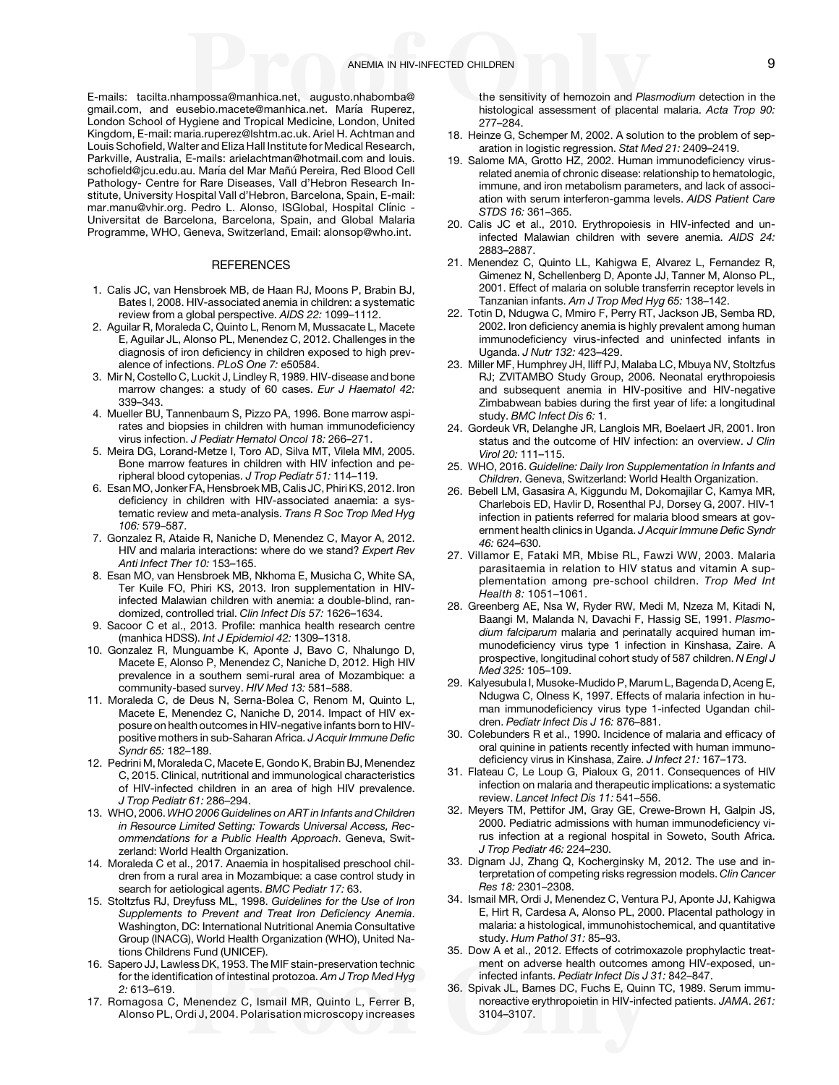<span id="page-8-0"></span>E-mails: [tacilta.nhampossa@manhica.net](mailto:tacilta.nhampossa@manhica.net), [augusto.nhabomba@](mailto:augusto.nhabomba@gmail.com) [gmail.com](mailto:augusto.nhabomba@gmail.com), and [eusebio.macete@manhica.net](mailto:eusebio.macete@manhica.net). María Ruperez, London School of Hygiene and Tropical Medicine, London, United Kingdom, E-mail: [maria.ruperez@lshtm.ac.uk.](mailto:maria.ruperez@lshtm.ac.uk) Ariel H. Achtman and Louis Schofield, Walter and Eliza Hall Institute for Medical Research, Parkville, Australia, E-mails: [arielachtman@hotmail.com](mailto:arielachtman@hotmail.com) and [louis.](mailto:louis.schofield@jcu.edu.au) schofi[eld@jcu.edu.au.](mailto:louis.schofield@jcu.edu.au) María del Mar Mañú Pereira, Red Blood Cell Pathology- Centre for Rare Diseases, Vall d'Hebron Research Institute, University Hospital Vall d'Hebron, Barcelona, Spain, E-mail: [mar.manu@vhir.org.](mailto:mar.manu@vhir.org) Pedro L. Alonso, ISGlobal, Hospital Clínic -Universitat de Barcelona, Barcelona, Spain, and Global Malaria Programme, WHO, Geneva, Switzerland, Email: [alonsop@who.int](mailto:alonsop@who.int).

#### **REFERENCES**

- 1. Calis JC, van Hensbroek MB, de Haan RJ, Moons P, Brabin BJ, Bates I, 2008. HIV-associated anemia in children: a systematic review from a global perspective. AIDS 22: 1099–1112.
- 2. Aguilar R, Moraleda C, Quinto L, Renom M, Mussacate L, Macete E, Aguilar JL, Alonso PL, Menendez C, 2012. Challenges in the diagnosis of iron deficiency in children exposed to high prevalence of infections. PLoS One 7: e50584.
- 3. Mir N, Costello C, Luckit J, Lindley R, 1989. HIV-disease and bone marrow changes: a study of 60 cases. Eur J Haematol 42: 339–343.
- 4. Mueller BU, Tannenbaum S, Pizzo PA, 1996. Bone marrow aspirates and biopsies in children with human immunodeficiency virus infection. J Pediatr Hematol Oncol 18: 266–271.
- 5. Meira DG, Lorand-Metze I, Toro AD, Silva MT, Vilela MM, 2005. Bone marrow features in children with HIV infection and peripheral blood cytopenias. J Trop Pediatr 51: 114–119.
- 6. Esan MO, Jonker FA, HensbroekMB, Calis JC, Phiri KS, 2012. Iron deficiency in children with HIV-associated anaemia: a systematic review and meta-analysis. Trans R Soc Trop Med Hyg 106: 579–587.
- 7. Gonzalez R, Ataide R, Naniche D, Menendez C, Mayor A, 2012. HIV and malaria interactions: where do we stand? Expert Rev Anti Infect Ther 10: 153–165.
- 8. Esan MO, van Hensbroek MB, Nkhoma E, Musicha C, White SA, Ter Kuile FO, Phiri KS, 2013. Iron supplementation in HIVinfected Malawian children with anemia: a double-blind, randomized, controlled trial. Clin Infect Dis 57: 1626–1634.
- 9. Sacoor C et al., 2013. Profile: manhica health research centre (manhica HDSS). Int J Epidemiol 42: 1309–1318.
- 10. Gonzalez R, Munguambe K, Aponte J, Bavo C, Nhalungo D, Macete E, Alonso P, Menendez C, Naniche D, 2012. High HIV prevalence in a southern semi-rural area of Mozambique: a community-based survey. HIV Med 13: 581–588.
- 11. Moraleda C, de Deus N, Serna-Bolea C, Renom M, Quinto L, Macete E, Menendez C, Naniche D, 2014. Impact of HIV exposure on health outcomes in HIV-negative infants born to HIVpositive mothers in sub-Saharan Africa. J Acquir Immune Defic Syndr 65: 182–189.
- 12. Pedrini M, Moraleda C, Macete E, Gondo K, Brabin BJ, Menendez C, 2015. Clinical, nutritional and immunological characteristics of HIV-infected children in an area of high HIV prevalence. J Trop Pediatr 61: 286–294.
- 13. WHO, 2006. WHO 2006 Guidelines on ART in Infants and Children in Resource Limited Setting: Towards Universal Access, Recommendations for a Public Health Approach. Geneva, Switzerland: World Health Organization.
- 14. Moraleda C et al., 2017. Anaemia in hospitalised preschool children from a rural area in Mozambique: a case control study in search for aetiological agents. BMC Pediatr 17: 63.
- 15. Stoltzfus RJ, Dreyfuss ML, 1998. Guidelines for the Use of Iron Supplements to Prevent and Treat Iron Deficiency Anemia. Washington, DC: International Nutritional Anemia Consultative Group (INACG), World Health Organization (WHO), United Nations Childrens Fund (UNICEF).
- 16. Sapero JJ, Lawless DK, 1953. The MIF stain-preservation technic for the identification of intestinal protozoa. Am J Trop Med Hyg 2: 613–619.
- 17. Romagosa C, Menendez C, Ismail MR, Quinto L, Ferrer B, Alonso PL, Ordi J, 2004. Polarisation microscopy increases

the sensitivity of hemozoin and Plasmodium detection in the histological assessment of placental malaria. Acta Trop 90: 277–284.

- 18. Heinze G, Schemper M, 2002. A solution to the problem of separation in logistic regression. Stat Med 21: 2409–2419.
- 19. Salome MA, Grotto HZ, 2002. Human immunodeficiency virusrelated anemia of chronic disease: relationship to hematologic, immune, and iron metabolism parameters, and lack of association with serum interferon-gamma levels. AIDS Patient Care STDS 16: 361–365.
- 20. Calis JC et al., 2010. Erythropoiesis in HIV-infected and uninfected Malawian children with severe anemia. AIDS 24: 2883–2887.
- 21. Menendez C, Quinto LL, Kahigwa E, Alvarez L, Fernandez R, Gimenez N, Schellenberg D, Aponte JJ, Tanner M, Alonso PL, 2001. Effect of malaria on soluble transferrin receptor levels in Tanzanian infants. Am J Trop Med Hyg 65: 138–142.
- 22. Totin D, Ndugwa C, Mmiro F, Perry RT, Jackson JB, Semba RD, 2002. Iron deficiency anemia is highly prevalent among human immunodeficiency virus-infected and uninfected infants in Uganda. J Nutr 132: 423–429.
- 23. Miller MF, Humphrey JH, Iliff PJ, Malaba LC, Mbuya NV, Stoltzfus RJ; ZVITAMBO Study Group, 2006. Neonatal erythropoiesis and subsequent anemia in HIV-positive and HIV-negative Zimbabwean babies during the first year of life: a longitudinal study. BMC Infect Dis 6: 1.
- 24. Gordeuk VR, Delanghe JR, Langlois MR, Boelaert JR, 2001. Iron status and the outcome of HIV infection: an overview. J Clin Virol 20: 111–115.
- 25. WHO, 2016. Guideline: Daily Iron Supplementation in Infants and Children. Geneva, Switzerland: World Health Organization.
- 26. Bebell LM, Gasasira A, Kiggundu M, Dokomajilar C, Kamya MR, Charlebois ED, Havlir D, Rosenthal PJ, Dorsey G, 2007. HIV-1 infection in patients referred for malaria blood smears at government health clinics in Uganda. J Acquir Immune Defic Syndr 46: 624–630.
- 27. Villamor E, Fataki MR, Mbise RL, Fawzi WW, 2003. Malaria parasitaemia in relation to HIV status and vitamin A supplementation among pre-school children. Trop Med Int Health 8: 1051–1061.
- 28. Greenberg AE, Nsa W, Ryder RW, Medi M, Nzeza M, Kitadi N, Baangi M, Malanda N, Davachi F, Hassig SE, 1991. Plasmodium falciparum malaria and perinatally acquired human immunodeficiency virus type 1 infection in Kinshasa, Zaire. A prospective, longitudinal cohort study of 587 children. N Engl J Med 325: 105–109.
- 29. Kalyesubula I, Musoke-Mudido P, Marum L, Bagenda D, Aceng E, Ndugwa C, Olness K, 1997. Effects of malaria infection in human immunodeficiency virus type 1-infected Ugandan children. Pediatr Infect Dis J 16: 876–881.
- 30. Colebunders R et al., 1990. Incidence of malaria and efficacy of oral quinine in patients recently infected with human immunodeficiency virus in Kinshasa, Zaire. J Infect 21: 167–173.
- 31. Flateau C, Le Loup G, Pialoux G, 2011. Consequences of HIV infection on malaria and therapeutic implications: a systematic review. Lancet Infect Dis 11: 541–556.
- 32. Meyers TM, Pettifor JM, Gray GE, Crewe-Brown H, Galpin JS, 2000. Pediatric admissions with human immunodeficiency virus infection at a regional hospital in Soweto, South Africa. J Trop Pediatr 46: 224–230.
- 33. Dignam JJ, Zhang Q, Kocherginsky M, 2012. The use and interpretation of competing risks regression models. Clin Cancer Res 18: 2301–2308.
- 34. Ismail MR, Ordi J, Menendez C, Ventura PJ, Aponte JJ, Kahigwa E, Hirt R, Cardesa A, Alonso PL, 2000. Placental pathology in malaria: a histological, immunohistochemical, and quantitative study. Hum Pathol 31: 85–93.
- 35. Dow A et al., 2012. Effects of cotrimoxazole prophylactic treatment on adverse health outcomes among HIV-exposed, uninfected infants. Pediatr Infect Dis J 31: 842–847.
- 36. Spivak JL, Barnes DC, Fuchs E, Quinn TC, 1989. Serum immunoreactive erythropoietin in HIV-infected patients. JAMA. 261: 3104–3107.